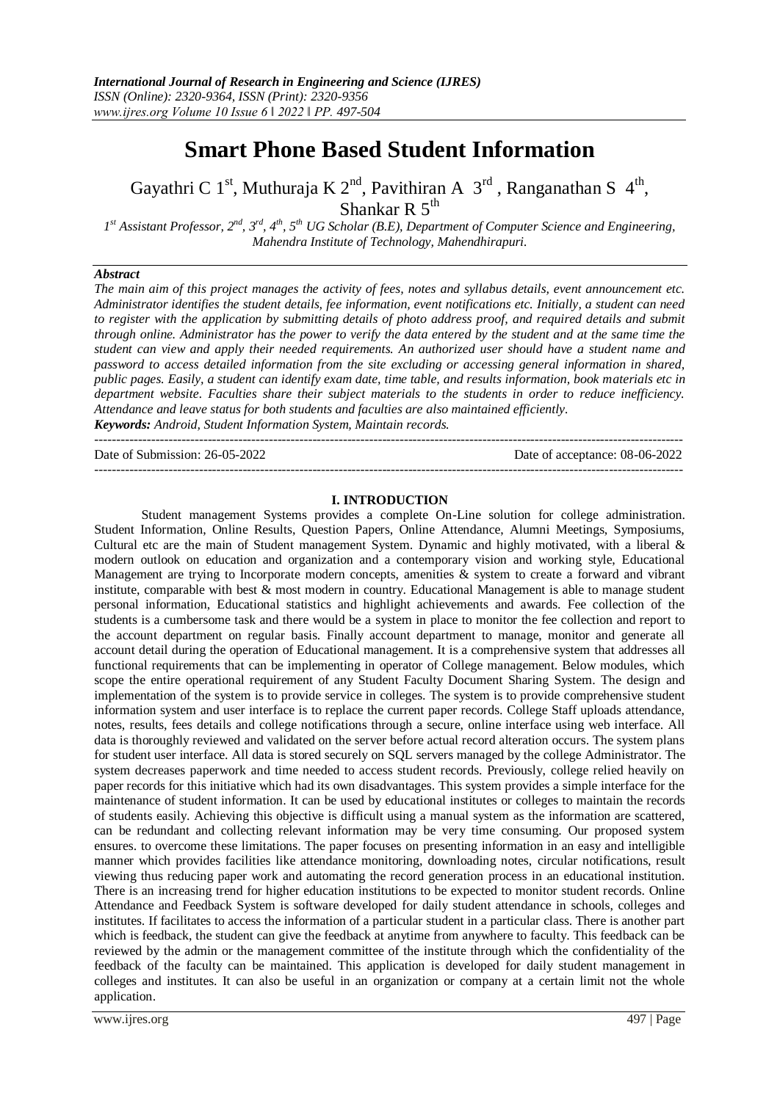# **Smart Phone Based Student Information**

Gayathri C 1<sup>st</sup>, Muthuraja K 2<sup>nd</sup>, Pavithiran A  $3<sup>rd</sup>$ , Ranganathan S 4<sup>th</sup>, Shankar R  $5<sup>th</sup>$ 

*1 st Assistant Professor, 2nd, 3rd, 4th, 5th UG Scholar (B.E), Department of Computer Science and Engineering, Mahendra Institute of Technology, Mahendhirapuri.*

#### *Abstract*

*The main aim of this project manages the activity of fees, notes and syllabus details, event announcement etc. Administrator identifies the student details, fee information, event notifications etc. Initially, a student can need to register with the application by submitting details of photo address proof, and required details and submit through online. Administrator has the power to verify the data entered by the student and at the same time the student can view and apply their needed requirements. An authorized user should have a student name and password to access detailed information from the site excluding or accessing general information in shared, public pages. Easily, a student can identify exam date, time table, and results information, book materials etc in department website. Faculties share their subject materials to the students in order to reduce inefficiency. Attendance and leave status for both students and faculties are also maintained efficiently. Keywords: Android, Student Information System, Maintain records.*

--------------------------------------------------------------------------------------------------------------------------------------- Date of Submission: 26-05-2022 Date of acceptance: 08-06-2022 ---------------------------------------------------------------------------------------------------------------------------------------

#### **I. INTRODUCTION**

Student management Systems provides a complete On-Line solution for college administration. Student Information, Online Results, Question Papers, Online Attendance, Alumni Meetings, Symposiums, Cultural etc are the main of Student management System. Dynamic and highly motivated, with a liberal & modern outlook on education and organization and a contemporary vision and working style, Educational Management are trying to Incorporate modern concepts, amenities & system to create a forward and vibrant institute, comparable with best & most modern in country. Educational Management is able to manage student personal information, Educational statistics and highlight achievements and awards. Fee collection of the students is a cumbersome task and there would be a system in place to monitor the fee collection and report to the account department on regular basis. Finally account department to manage, monitor and generate all account detail during the operation of Educational management. It is a comprehensive system that addresses all functional requirements that can be implementing in operator of College management. Below modules, which scope the entire operational requirement of any Student Faculty Document Sharing System. The design and implementation of the system is to provide service in colleges. The system is to provide comprehensive student information system and user interface is to replace the current paper records. College Staff uploads attendance, notes, results, fees details and college notifications through a secure, online interface using web interface. All data is thoroughly reviewed and validated on the server before actual record alteration occurs. The system plans for student user interface. All data is stored securely on SQL servers managed by the college Administrator. The system decreases paperwork and time needed to access student records. Previously, college relied heavily on paper records for this initiative which had its own disadvantages. This system provides a simple interface for the maintenance of student information. It can be used by educational institutes or colleges to maintain the records of students easily. Achieving this objective is difficult using a manual system as the information are scattered, can be redundant and collecting relevant information may be very time consuming. Our proposed system ensures. to overcome these limitations. The paper focuses on presenting information in an easy and intelligible manner which provides facilities like attendance monitoring, downloading notes, circular notifications, result viewing thus reducing paper work and automating the record generation process in an educational institution. There is an increasing trend for higher education institutions to be expected to monitor student records. Online Attendance and Feedback System is software developed for daily student attendance in schools, colleges and institutes. If facilitates to access the information of a particular student in a particular class. There is another part which is feedback, the student can give the feedback at anytime from anywhere to faculty. This feedback can be reviewed by the admin or the management committee of the institute through which the confidentiality of the feedback of the faculty can be maintained. This application is developed for daily student management in colleges and institutes. It can also be useful in an organization or company at a certain limit not the whole application.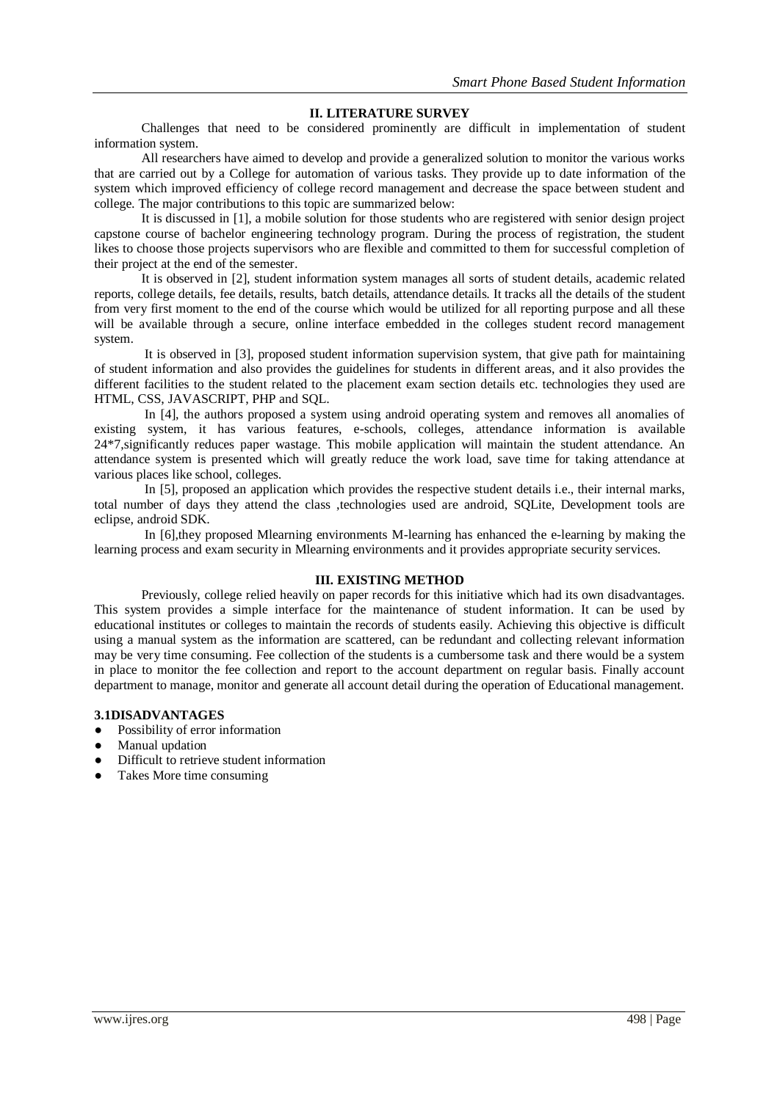#### **II. LITERATURE SURVEY**

Challenges that need to be considered prominently are difficult in implementation of student information system.

All researchers have aimed to develop and provide a generalized solution to monitor the various works that are carried out by a College for automation of various tasks. They provide up to date information of the system which improved efficiency of college record management and decrease the space between student and college. The major contributions to this topic are summarized below:

It is discussed in [1], a mobile solution for those students who are registered with senior design project capstone course of bachelor engineering technology program. During the process of registration, the student likes to choose those projects supervisors who are flexible and committed to them for successful completion of their project at the end of the semester.

It is observed in [2], student information system manages all sorts of student details, academic related reports, college details, fee details, results, batch details, attendance details. It tracks all the details of the student from very first moment to the end of the course which would be utilized for all reporting purpose and all these will be available through a secure, online interface embedded in the colleges student record management system.

It is observed in [3], proposed student information supervision system, that give path for maintaining of student information and also provides the guidelines for students in different areas, and it also provides the different facilities to the student related to the placement exam section details etc. technologies they used are HTML, CSS, JAVASCRIPT, PHP and SQL.

In [4], the authors proposed a system using android operating system and removes all anomalies of existing system, it has various features, e-schools, colleges, attendance information is available 24\*7,significantly reduces paper wastage. This mobile application will maintain the student attendance. An attendance system is presented which will greatly reduce the work load, save time for taking attendance at various places like school, colleges.

In [5], proposed an application which provides the respective student details i.e., their internal marks, total number of days they attend the class ,technologies used are android, SQLite, Development tools are eclipse, android SDK.

In [6],they proposed Mlearning environments M-learning has enhanced the e-learning by making the learning process and exam security in Mlearning environments and it provides appropriate security services.

#### **III. EXISTING METHOD**

Previously, college relied heavily on paper records for this initiative which had its own disadvantages. This system provides a simple interface for the maintenance of student information. It can be used by educational institutes or colleges to maintain the records of students easily. Achieving this objective is difficult using a manual system as the information are scattered, can be redundant and collecting relevant information may be very time consuming. Fee collection of the students is a cumbersome task and there would be a system in place to monitor the fee collection and report to the account department on regular basis. Finally account department to manage, monitor and generate all account detail during the operation of Educational management.

#### **3.1DISADVANTAGES**

- Possibility of error information
- Manual updation
- Difficult to retrieve student information
- Takes More time consuming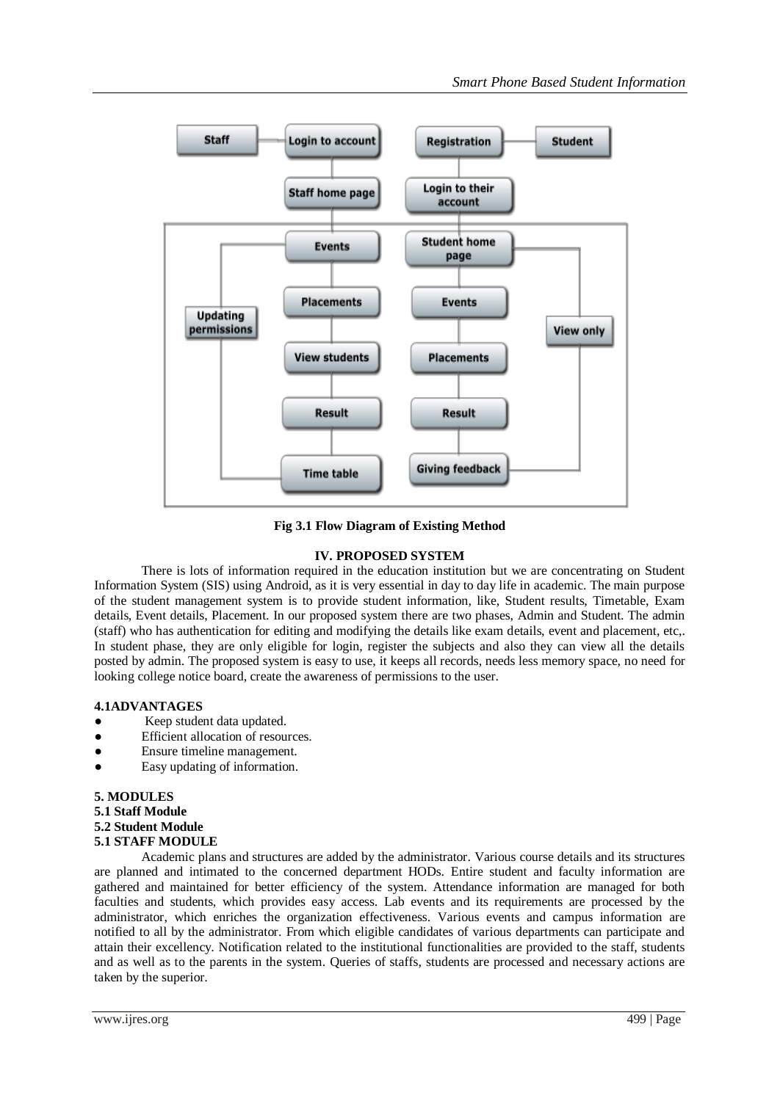

**Fig 3.1 Flow Diagram of Existing Method** 

## **IV. PROPOSED SYSTEM**

There is lots of information required in the education institution but we are concentrating on Student Information System (SIS) using Android, as it is very essential in day to day life in academic. The main purpose of the student management system is to provide student information, like, Student results, Timetable, Exam details, Event details, Placement. In our proposed system there are two phases, Admin and Student. The admin (staff) who has authentication for editing and modifying the details like exam details, event and placement, etc,. In student phase, they are only eligible for login, register the subjects and also they can view all the details posted by admin. The proposed system is easy to use, it keeps all records, needs less memory space, no need for looking college notice board, create the awareness of permissions to the user.

# **4.1ADVANTAGES**

- Keep student data updated.
- Efficient allocation of resources.
- Ensure timeline management.
- Easy updating of information.

# **5. MODULES**

**5.1 Staff Module 5.2 Student Module 5.1 STAFF MODULE** 

Academic plans and structures are added by the administrator. Various course details and its structures are planned and intimated to the concerned department HODs. Entire student and faculty information are gathered and maintained for better efficiency of the system. Attendance information are managed for both faculties and students, which provides easy access. Lab events and its requirements are processed by the administrator, which enriches the organization effectiveness. Various events and campus information are notified to all by the administrator. From which eligible candidates of various departments can participate and attain their excellency. Notification related to the institutional functionalities are provided to the staff, students and as well as to the parents in the system. Queries of staffs, students are processed and necessary actions are taken by the superior.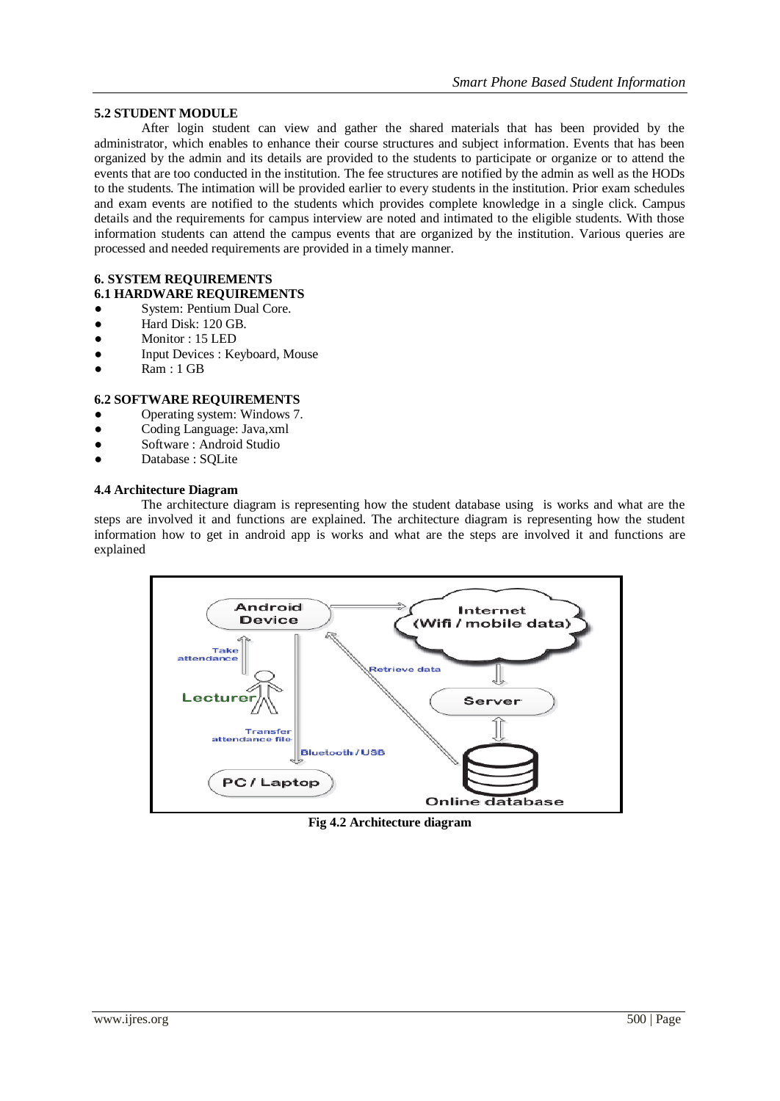## **5.2 STUDENT MODULE**

After login student can view and gather the shared materials that has been provided by the administrator, which enables to enhance their course structures and subject information. Events that has been organized by the admin and its details are provided to the students to participate or organize or to attend the events that are too conducted in the institution. The fee structures are notified by the admin as well as the HODs to the students. The intimation will be provided earlier to every students in the institution. Prior exam schedules and exam events are notified to the students which provides complete knowledge in a single click. Campus details and the requirements for campus interview are noted and intimated to the eligible students. With those information students can attend the campus events that are organized by the institution. Various queries are processed and needed requirements are provided in a timely manner.

#### **6. SYSTEM REQUIREMENTS 6.1 HARDWARE REQUIREMENTS**

- System: Pentium Dual Core.
- Hard Disk: 120 GB.
- Monitor : 15 LED
- Input Devices : Keyboard, Mouse
- Ram : 1 GB

## **6.2 SOFTWARE REQUIREMENTS**

- Operating system: Windows 7.
- Coding Language: Java, xml
- Software : Android Studio
- Database : SQLite

### **4.4 Architecture Diagram**

The architecture diagram is representing how the student database using is works and what are the steps are involved it and functions are explained. The architecture diagram is representing how the student information how to get in android app is works and what are the steps are involved it and functions are explained



**Fig 4.2 Architecture diagram**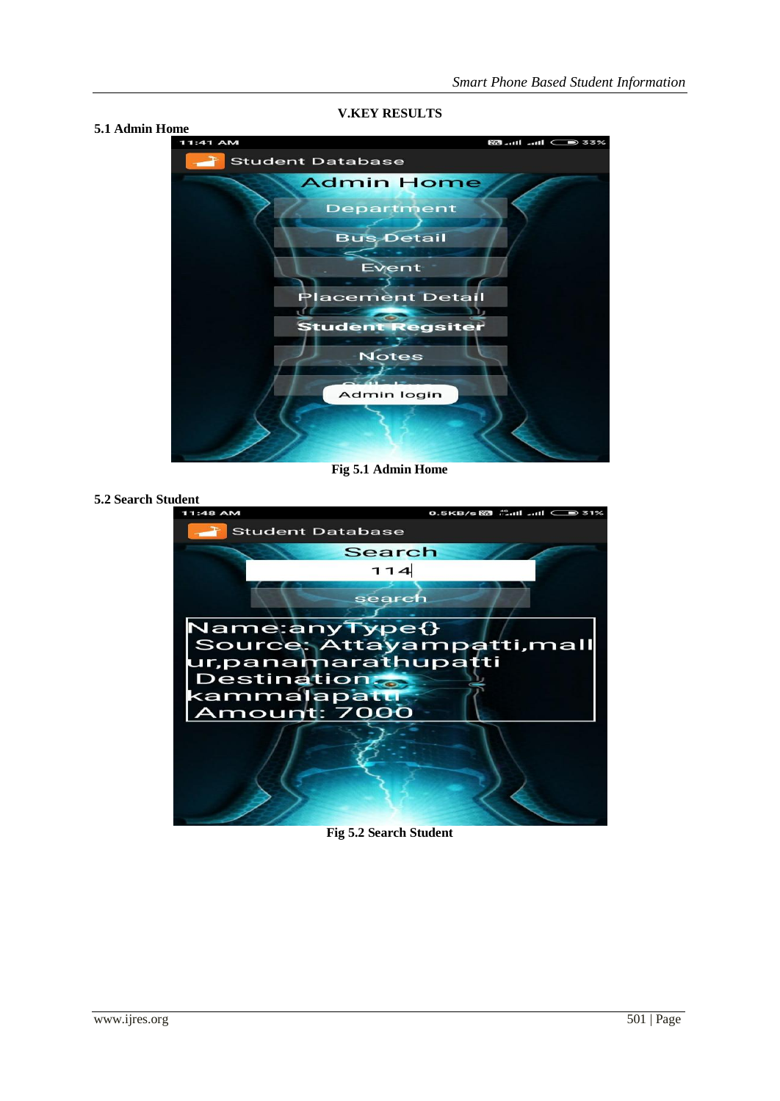**5.1 Admin Home 883 €** In the B3 **Student Database Admin Home Department Bus Detail** Event acement Detail **Student Regsiter Notes** Admin login

**V.KEY RESULTS**

**Fig 5.1 Admin Home**

**5.2 Search Student** 



#### **Fig 5.2 Search Student**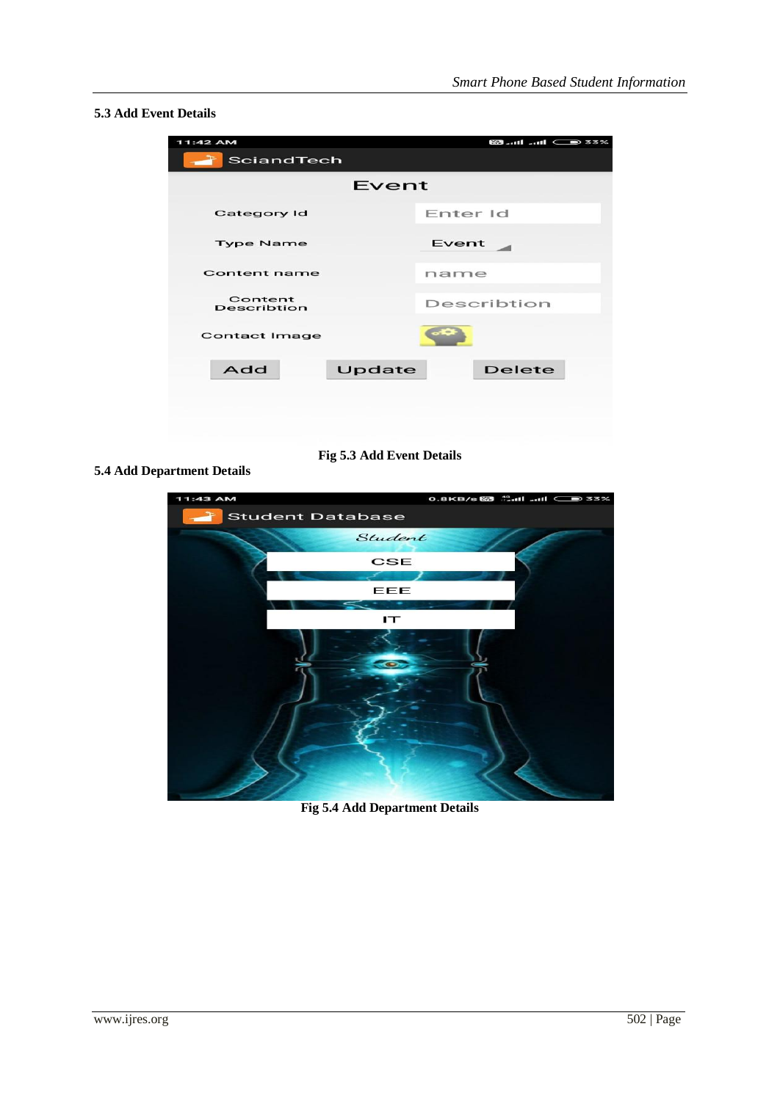# **5.3 Add Event Details**

| 11:42 AM                      |        | <b>88  III  III</b> 33% |
|-------------------------------|--------|-------------------------|
| SciandTech                    |        |                         |
| Event                         |        |                         |
| Category Id                   |        | Enter Id                |
| <b>Type Name</b>              |        | Event                   |
| Content name                  |        | name                    |
| Content<br><b>Describtion</b> |        | Describtion             |
| <b>Contact Image</b>          |        |                         |
| Add                           | Update | <b>Delete</b>           |
|                               |        |                         |
|                               |        |                         |
|                               |        |                         |

**Fig 5.3 Add Event Details**

## **5.4 Add Department Details**



**Fig 5.4 Add Department Details**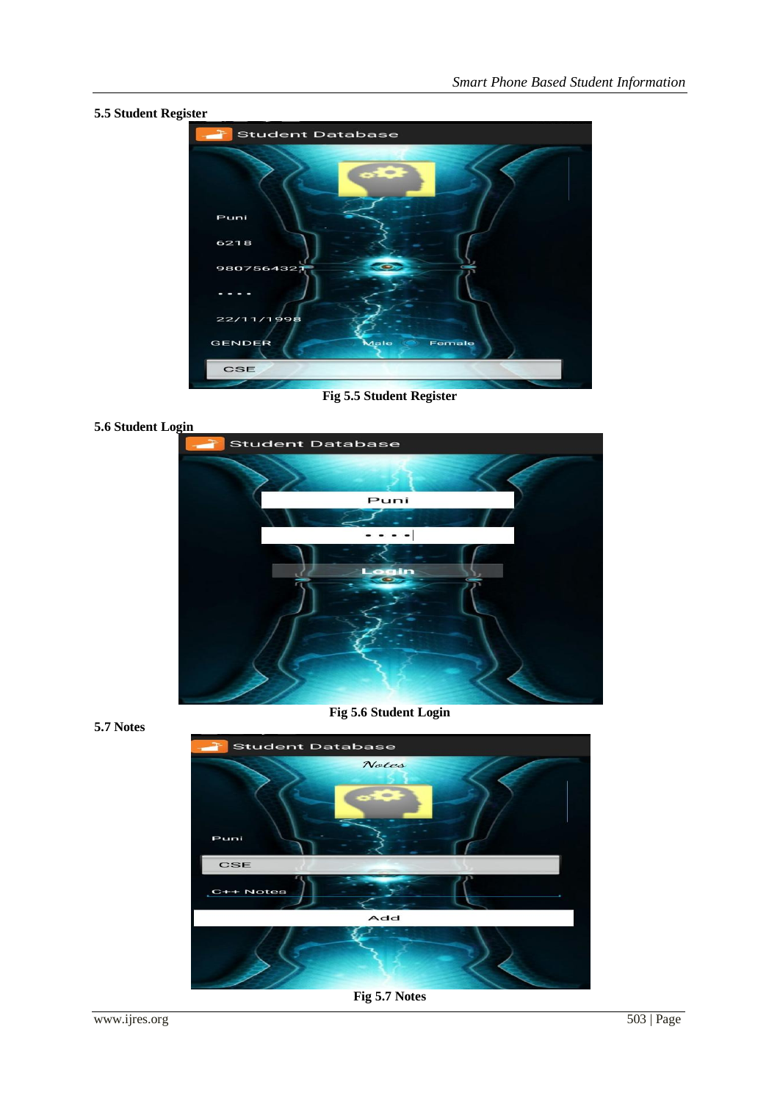**5.5 Student Register Student Database** Puni 6218 980756432  $\overline{2}2$  $11/1996$ GENDER Female CSE

**Fig 5.5 Student Register**

## **5.6 Student Login**



**Fig 5.6 Student Login**